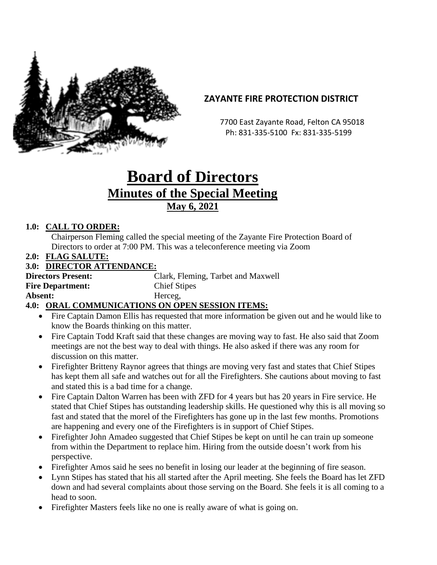

# **ZAYANTE FIRE PROTECTION DISTRICT**

 7700 East Zayante Road, Felton CA 95018 Ph: 831-335-5100 Fx: 831-335-5199

# **Board of Directors Minutes of the Special Meeting May 6, 2021**

# **1.0: CALL TO ORDER:**

Chairperson Fleming called the special meeting of the Zayante Fire Protection Board of Directors to order at 7:00 PM. This was a teleconference meeting via Zoom

**2.0: FLAG SALUTE:**

#### **3.0: DIRECTOR ATTENDANCE:**

| <b>Directors Present:</b>                      | Clark, Fleming, Tarbet and Maxwell |
|------------------------------------------------|------------------------------------|
| <b>Fire Department:</b>                        | <b>Chief Stipes</b>                |
| Absent:                                        | Herceg,                            |
| 40. ORAL COMMUNICATIONS ON OPEN SESSION ITEMS. |                                    |

# **4.0: ORAL COMMUNICATIONS ON OPEN SESSION ITEMS:**

- Fire Captain Damon Ellis has requested that more information be given out and he would like to know the Boards thinking on this matter.
- Fire Captain Todd Kraft said that these changes are moving way to fast. He also said that Zoom meetings are not the best way to deal with things. He also asked if there was any room for discussion on this matter.
- Firefighter Britteny Raynor agrees that things are moving very fast and states that Chief Stipes has kept them all safe and watches out for all the Firefighters. She cautions about moving to fast and stated this is a bad time for a change.
- Fire Captain Dalton Warren has been with ZFD for 4 years but has 20 years in Fire service. He stated that Chief Stipes has outstanding leadership skills. He questioned why this is all moving so fast and stated that the morel of the Firefighters has gone up in the last few months. Promotions are happening and every one of the Firefighters is in support of Chief Stipes.
- Firefighter John Amadeo suggested that Chief Stipes be kept on until he can train up someone from within the Department to replace him. Hiring from the outside doesn't work from his perspective.
- Firefighter Amos said he sees no benefit in losing our leader at the beginning of fire season.
- Lynn Stipes has stated that his all started after the April meeting. She feels the Board has let ZFD down and had several complaints about those serving on the Board. She feels it is all coming to a head to soon.
- Firefighter Masters feels like no one is really aware of what is going on.